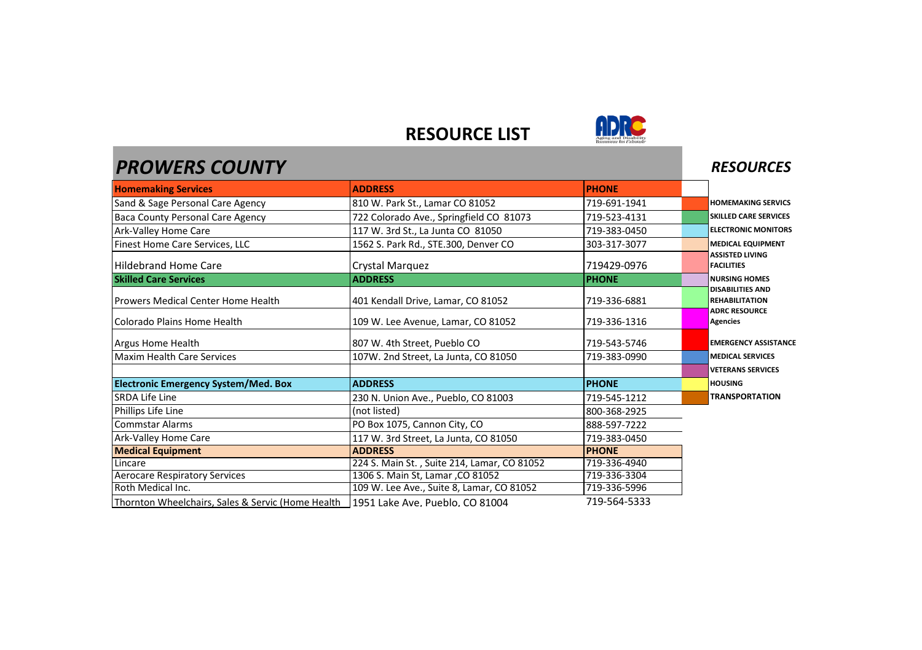## **RESOURCE LIST**



| <b>PROWERS COUNTY</b>                             |                                             |              | <b>RESOURCES</b>                                 |
|---------------------------------------------------|---------------------------------------------|--------------|--------------------------------------------------|
| <b>Homemaking Services</b>                        | <b>ADDRESS</b>                              | <b>PHONE</b> |                                                  |
| Sand & Sage Personal Care Agency                  | 810 W. Park St., Lamar CO 81052             | 719-691-1941 | <b>HOMEMAKING SERVICS</b>                        |
| <b>Baca County Personal Care Agency</b>           | 722 Colorado Ave., Springfield CO 81073     | 719-523-4131 | <b>SKILLED CARE SERVICES</b>                     |
| Ark-Valley Home Care                              | 117 W. 3rd St., La Junta CO 81050           | 719-383-0450 | <b>ELECTRONIC MONITORS</b>                       |
| Finest Home Care Services, LLC                    | 1562 S. Park Rd., STE.300, Denver CO        | 303-317-3077 | <b>MEDICAL EQUIPMENT</b>                         |
| <b>Hildebrand Home Care</b>                       | Crystal Marguez                             | 719429-0976  | <b>ASSISTED LIVING</b><br><b>FACILITIES</b>      |
| <b>Skilled Care Services</b>                      | <b>ADDRESS</b>                              | <b>PHONE</b> | <b>NURSING HOMES</b>                             |
| Prowers Medical Center Home Health                | 401 Kendall Drive, Lamar, CO 81052          | 719-336-6881 | <b>DISABILITIES AND</b><br><b>REHABILITATION</b> |
| Colorado Plains Home Health                       | 109 W. Lee Avenue, Lamar, CO 81052          | 719-336-1316 | <b>ADRC RESOURCE</b><br><b>Agencies</b>          |
| Argus Home Health                                 | 807 W. 4th Street, Pueblo CO                | 719-543-5746 | <b>EMERGENCY ASSISTANCE</b>                      |
| Maxim Health Care Services                        | 107W. 2nd Street, La Junta, CO 81050        | 719-383-0990 | <b>MEDICAL SERVICES</b>                          |
|                                                   |                                             |              | <b>VETERANS SERVICES</b>                         |
| <b>Electronic Emergency System/Med. Box</b>       | <b>ADDRESS</b>                              | <b>PHONE</b> | <b>HOUSING</b>                                   |
| SRDA Life Line                                    | 230 N. Union Ave., Pueblo, CO 81003         | 719-545-1212 | <b>TRANSPORTATION</b>                            |
| Phillips Life Line                                | (not listed)                                | 800-368-2925 |                                                  |
| <b>Commstar Alarms</b>                            | PO Box 1075, Cannon City, CO                | 888-597-7222 |                                                  |
| Ark-Valley Home Care                              | 117 W. 3rd Street, La Junta, CO 81050       | 719-383-0450 |                                                  |
| <b>Medical Equipment</b>                          | <b>ADDRESS</b>                              | <b>PHONE</b> |                                                  |
| Lincare                                           | 224 S. Main St., Suite 214, Lamar, CO 81052 | 719-336-4940 |                                                  |
| <b>Aerocare Respiratory Services</b>              | 1306 S. Main St, Lamar , CO 81052           | 719-336-3304 |                                                  |
| Roth Medical Inc.                                 | 109 W. Lee Ave., Suite 8, Lamar, CO 81052   | 719-336-5996 |                                                  |
| Thornton Wheelchairs, Sales & Servic (Home Health | 1951 Lake Ave, Pueblo, CO 81004             | 719-564-5333 |                                                  |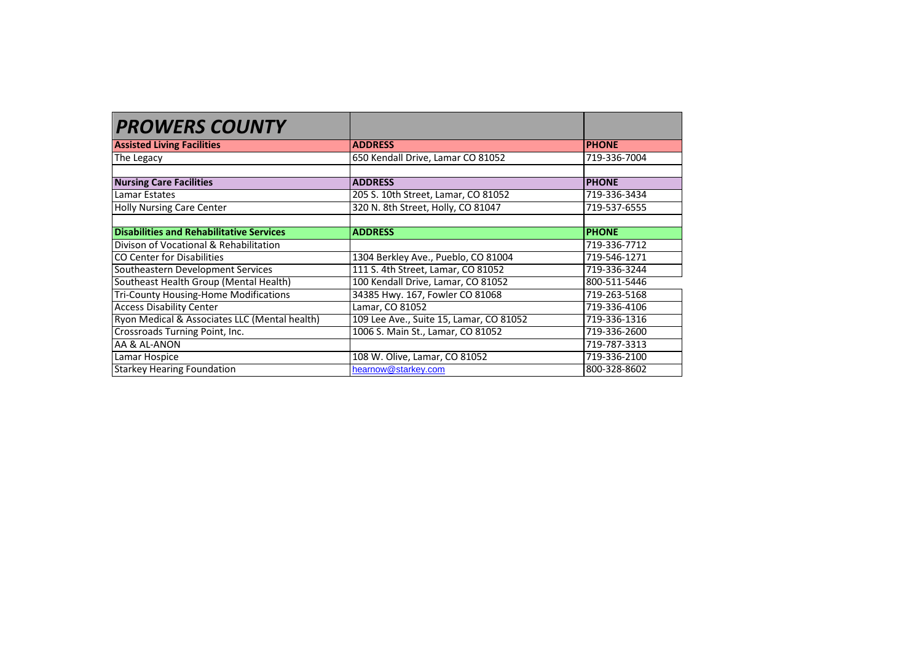| <b>PROWERS COUNTY</b>                           |                                         |              |
|-------------------------------------------------|-----------------------------------------|--------------|
| <b>Assisted Living Facilities</b>               | <b>ADDRESS</b>                          | <b>PHONE</b> |
| The Legacy                                      | 650 Kendall Drive, Lamar CO 81052       | 719-336-7004 |
|                                                 |                                         |              |
| <b>Nursing Care Facilities</b>                  | <b>ADDRESS</b>                          | <b>PHONE</b> |
| <b>Lamar Estates</b>                            | 205 S. 10th Street, Lamar, CO 81052     | 719-336-3434 |
| <b>Holly Nursing Care Center</b>                | 320 N. 8th Street. Holly. CO 81047      | 719-537-6555 |
| <b>Disabilities and Rehabilitative Services</b> | <b>ADDRESS</b>                          | <b>PHONE</b> |
| Divison of Vocational & Rehabilitation          |                                         | 719-336-7712 |
| CO Center for Disabilities                      | 1304 Berkley Ave., Pueblo, CO 81004     | 719-546-1271 |
| Southeastern Development Services               | 111 S. 4th Street, Lamar, CO 81052      | 719-336-3244 |
| Southeast Health Group (Mental Health)          | 100 Kendall Drive, Lamar, CO 81052      | 800-511-5446 |
| Tri-County Housing-Home Modifications           | 34385 Hwy. 167, Fowler CO 81068         | 719-263-5168 |
| <b>Access Disability Center</b>                 | Lamar, CO 81052                         | 719-336-4106 |
| Ryon Medical & Associates LLC (Mental health)   | 109 Lee Ave., Suite 15, Lamar, CO 81052 | 719-336-1316 |
| Crossroads Turning Point, Inc.                  | 1006 S. Main St., Lamar, CO 81052       | 719-336-2600 |
| AA & AL-ANON                                    |                                         | 719-787-3313 |
| Lamar Hospice                                   | 108 W. Olive, Lamar, CO 81052           | 719-336-2100 |
| <b>Starkey Hearing Foundation</b>               | hearnow@starkey.com                     | 800-328-8602 |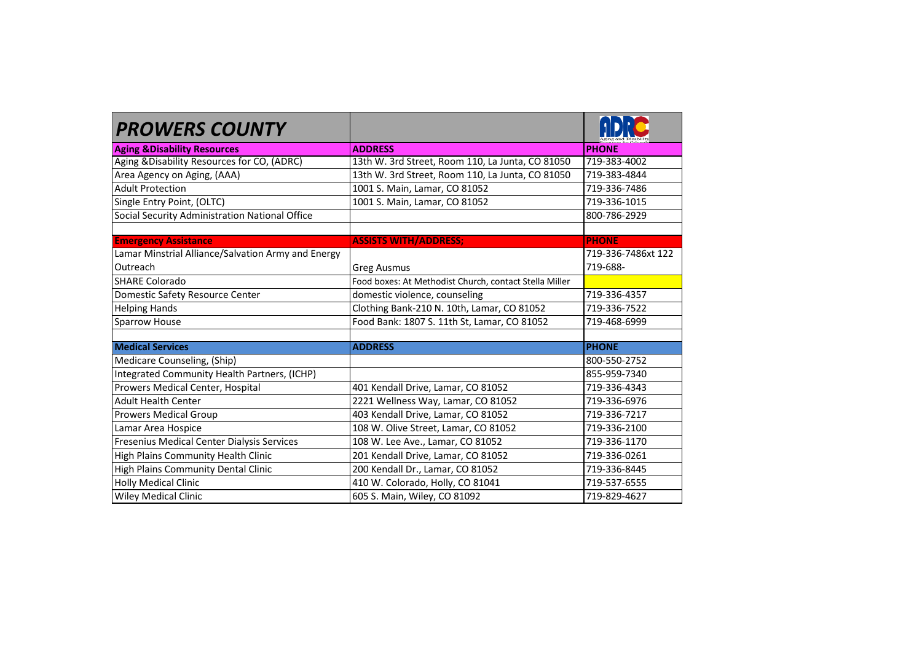| <b>PROWERS COUNTY</b>                              |                                                        |                    |
|----------------------------------------------------|--------------------------------------------------------|--------------------|
| <b>Aging &amp; Disability Resources</b>            | <b>ADDRESS</b>                                         | <b>PHONE</b>       |
| Aging &Disability Resources for CO, (ADRC)         | 13th W. 3rd Street, Room 110, La Junta, CO 81050       | 719-383-4002       |
| Area Agency on Aging, (AAA)                        | 13th W. 3rd Street, Room 110, La Junta, CO 81050       | 719-383-4844       |
| <b>Adult Protection</b>                            | 1001 S. Main, Lamar, CO 81052                          | 719-336-7486       |
| Single Entry Point, (OLTC)                         | 1001 S. Main, Lamar, CO 81052                          | 719-336-1015       |
| Social Security Administration National Office     |                                                        | 800-786-2929       |
|                                                    |                                                        |                    |
| <b>Emergency Assistance</b>                        | <b>ASSISTS WITH/ADDRESS:</b>                           | <b>PHONE</b>       |
| Lamar Minstrial Alliance/Salvation Army and Energy |                                                        | 719-336-7486xt 122 |
| Outreach                                           | <b>Greg Ausmus</b>                                     | 719-688-           |
| SHARE Colorado                                     | Food boxes: At Methodist Church, contact Stella Miller |                    |
| Domestic Safety Resource Center                    | domestic violence, counseling                          | 719-336-4357       |
| <b>Helping Hands</b>                               | Clothing Bank-210 N. 10th, Lamar, CO 81052             | 719-336-7522       |
| Sparrow House                                      | Food Bank: 1807 S. 11th St, Lamar, CO 81052            | 719-468-6999       |
|                                                    |                                                        |                    |
| <b>Medical Services</b>                            | <b>ADDRESS</b>                                         | <b>PHONE</b>       |
| Medicare Counseling, (Ship)                        |                                                        | 800-550-2752       |
| Integrated Community Health Partners, (ICHP)       |                                                        | 855-959-7340       |
| Prowers Medical Center, Hospital                   | 401 Kendall Drive, Lamar, CO 81052                     | 719-336-4343       |
| <b>Adult Health Center</b>                         | 2221 Wellness Way, Lamar, CO 81052                     | 719-336-6976       |
| <b>Prowers Medical Group</b>                       | 403 Kendall Drive, Lamar, CO 81052                     | 719-336-7217       |
| Lamar Area Hospice                                 | 108 W. Olive Street, Lamar, CO 81052                   | 719-336-2100       |
| Fresenius Medical Center Dialysis Services         | 108 W. Lee Ave., Lamar, CO 81052                       | 719-336-1170       |
| <b>High Plains Community Health Clinic</b>         | 201 Kendall Drive, Lamar, CO 81052                     | 719-336-0261       |
| High Plains Community Dental Clinic                | 200 Kendall Dr., Lamar, CO 81052                       | 719-336-8445       |
| <b>Holly Medical Clinic</b>                        | 410 W. Colorado, Holly, CO 81041                       | 719-537-6555       |
| <b>Wiley Medical Clinic</b>                        | 605 S. Main, Wiley, CO 81092                           | 719-829-4627       |